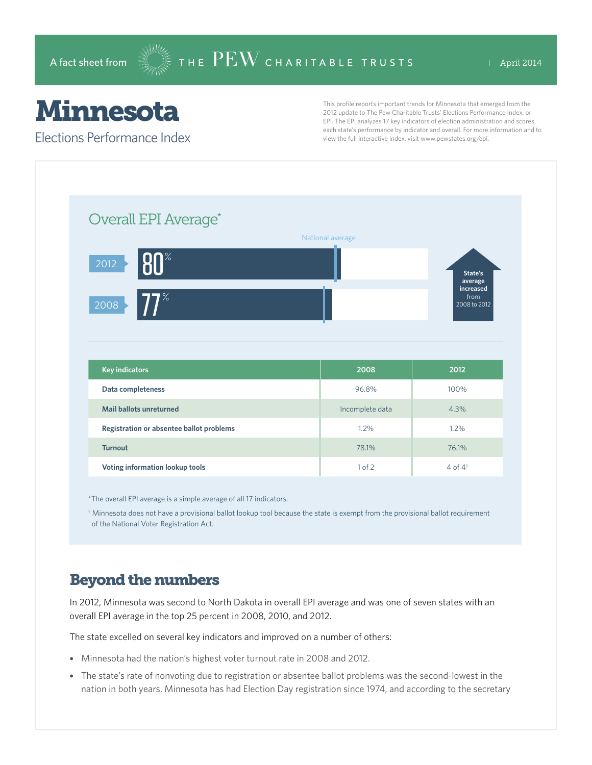## Minnesota

Elections Performance Index

This profile reports important trends for Minnesota that emerged from the 2012 update to The Pew Charitable Trusts' Elections Performance Index, or EPI. The EPI analyzes 17 key indicators of election administration and scores each state's performance by indicator and overall. For more information and to view the full interactive index, visit www.pewstates.org/epi.

| Overall EPI Average*                     |                  |                                   |
|------------------------------------------|------------------|-----------------------------------|
|                                          | National average |                                   |
| $80^\circ$<br>2012                       |                  | State's<br>average                |
| $77^\circ$<br>2008                       |                  | increased<br>from<br>2008 to 2012 |
|                                          |                  |                                   |
|                                          |                  |                                   |
|                                          |                  |                                   |
| <b>Key indicators</b>                    | 2008             | 2012                              |
| Data completeness                        | 96.8%            | 100%                              |
| <b>Mail ballots unreturned</b>           | Incomplete data  | 4.3%                              |
| Registration or absentee ballot problems | 1.2%             | 1.2%                              |
| <b>Turnout</b>                           | 78.1%            | 76.1%                             |

\*The overall EPI average is a simple average of all 17 indicators.

 $^\dagger$  Minnesota does not have a provisional ballot lookup tool because the state is exempt from the provisional ballot requirement of the National Voter Registration Act.

## Beyond the numbers

In 2012, Minnesota was second to North Dakota in overall EPI average and was one of seven states with an overall EPI average in the top 25 percent in 2008, 2010, and 2012.

The state excelled on several key indicators and improved on a number of others:

- Minnesota had the nation's highest voter turnout rate in 2008 and 2012.
- The state's rate of nonvoting due to registration or absentee ballot problems was the second-lowest in the nation in both years. Minnesota has had Election Day registration since 1974, and according to the secretary